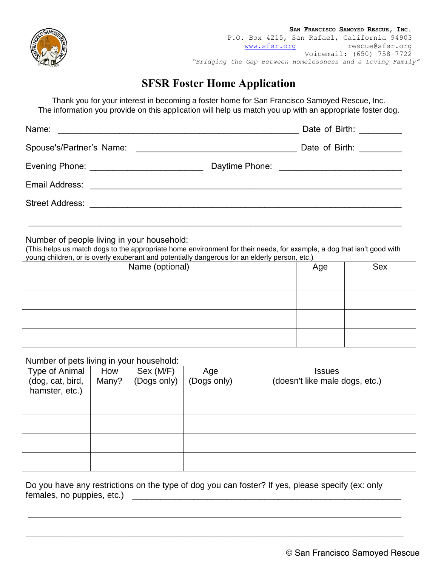

## **SFSR Foster Home Application**

Thank you for your interest in becoming a foster home for San Francisco Samoyed Rescue, Inc. The information you provide on this application will help us match you up with an appropriate foster dog.

|  | Date of Birth: <u>___________</u> |
|--|-----------------------------------|
|  | Date of Birth: __________         |
|  |                                   |
|  |                                   |
|  |                                   |
|  |                                   |

Number of people living in your household:

(This helps us match dogs to the appropriate home environment for their needs, for example, a dog that isn't good with young children, or is overly exuberant and potentially dangerous for an elderly person, etc.)

| <u>.</u><br>Name (optional) | Age | Sex |
|-----------------------------|-----|-----|
|                             |     |     |
|                             |     |     |
|                             |     |     |
|                             |     |     |
|                             |     |     |
|                             |     |     |
|                             |     |     |

## Number of pets living in your household:

| Type of Animal   | How   | Sex (M/F)   | Age         | <b>Issues</b>                  |
|------------------|-------|-------------|-------------|--------------------------------|
| (dog, cat, bird, | Many? | (Dogs only) | (Dogs only) | (doesn't like male dogs, etc.) |
| hamster, etc.)   |       |             |             |                                |
|                  |       |             |             |                                |
|                  |       |             |             |                                |
|                  |       |             |             |                                |
|                  |       |             |             |                                |
|                  |       |             |             |                                |
|                  |       |             |             |                                |
|                  |       |             |             |                                |
|                  |       |             |             |                                |

Do you have any restrictions on the type of dog you can foster? If yes, please specify (ex: only females, no puppies, etc.) \_\_\_\_\_\_\_\_\_\_\_\_\_\_\_\_\_\_\_\_\_\_\_\_\_\_\_\_\_\_\_\_\_\_\_\_\_\_\_\_\_\_\_\_\_\_\_\_\_\_\_\_\_\_\_\_\_

 $\_$  , and the set of the set of the set of the set of the set of the set of the set of the set of the set of the set of the set of the set of the set of the set of the set of the set of the set of the set of the set of th

 $\_$  , and the contribution of the contribution of the contribution of the contribution of the contribution of  $\mathcal{L}_\text{max}$